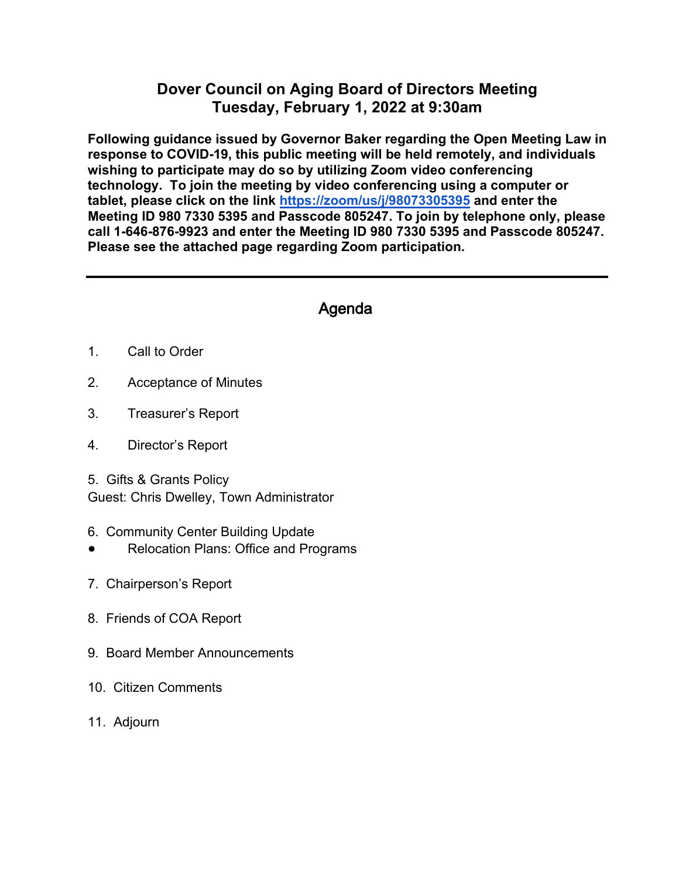## **Dover Council on Aging Board of Directors Meeting Tuesday, February 1, 2022 at 9:30am**

**Following guidance issued by Governor Baker regarding the Open Meeting Law in response to COVID-19, this public meeting will be held remotely, and individuals wishing to participate may do so by utilizing Zoom video conferencing technology. To join the meeting by video conferencing using a computer or tablet, please click on the link<https://zoom/us/j/98073305395> and enter the Meeting ID 980 7330 5395 and Passcode 805247. To join by telephone only, please call 1-646-876-9923 and enter the Meeting ID 980 7330 5395 and Passcode 805247. Please see the attached page regarding Zoom participation.** 

## Agenda

- 1. Call to Order
- 2. Acceptance of Minutes
- 3. Treasurer's Report
- 4. Director's Report
- 5. Gifts & Grants Policy

Guest: Chris Dwelley, Town Administrator

- 6. Community Center Building Update
- **Relocation Plans: Office and Programs**
- 7. Chairperson's Report
- 8. Friends of COA Report
- 9. Board Member Announcements
- 10. Citizen Comments
- 11. Adjourn